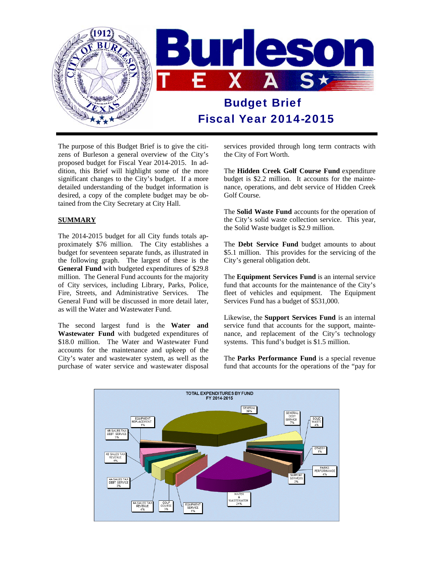

The purpose of this Budget Brief is to give the citizens of Burleson a general overview of the City's proposed budget for Fiscal Year 2014-2015. In addition, this Brief will highlight some of the more significant changes to the City's budget. If a more detailed understanding of the budget information is desired, a copy of the complete budget may be obtained from the City Secretary at City Hall.

#### **SUMMARY**

The 2014-2015 budget for all City funds totals approximately \$76 million. The City establishes a budget for seventeen separate funds, as illustrated in the following graph. The largest of these is the **General Fund** with budgeted expenditures of \$29.8 million. The General Fund accounts for the majority of City services, including Library, Parks, Police, Fire, Streets, and Administrative Services. The General Fund will be discussed in more detail later, as will the Water and Wastewater Fund.

The second largest fund is the **Water and Wastewater Fund** with budgeted expenditures of \$18.0 million. The Water and Wastewater Fund accounts for the maintenance and upkeep of the City's water and wastewater system, as well as the purchase of water service and wastewater disposal services provided through long term contracts with the City of Fort Worth.

The **Hidden Creek Golf Course Fund** expenditure budget is \$2.2 million. It accounts for the maintenance, operations, and debt service of Hidden Creek Golf Course.

The **Solid Waste Fund** accounts for the operation of the City's solid waste collection service. This year, the Solid Waste budget is \$2.9 million.

The **Debt Service Fund** budget amounts to about \$5.1 million. This provides for the servicing of the City's general obligation debt.

The **Equipment Services Fund** is an internal service fund that accounts for the maintenance of the City's fleet of vehicles and equipment. The Equipment Services Fund has a budget of \$531,000.

Likewise, the **Support Services Fund** is an internal service fund that accounts for the support, maintenance, and replacement of the City's technology systems. This fund's budget is \$1.5 million.

The **Parks Performance Fund** is a special revenue fund that accounts for the operations of the "pay for

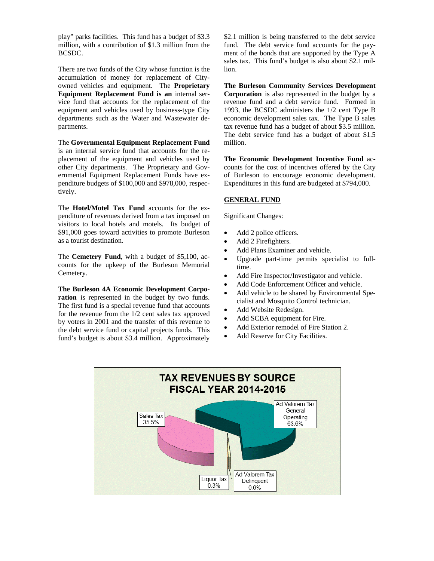play" parks facilities. This fund has a budget of \$3.3 million, with a contribution of \$1.3 million from the BCSDC.

There are two funds of the City whose function is the accumulation of money for replacement of Cityowned vehicles and equipment. The **Proprietary Equipment Replacement Fund is an** internal service fund that accounts for the replacement of the equipment and vehicles used by business-type City departments such as the Water and Wastewater departments.

The **Governmental Equipment Replacement Fund**  is an internal service fund that accounts for the replacement of the equipment and vehicles used by other City departments. The Proprietary and Governmental Equipment Replacement Funds have expenditure budgets of \$100,000 and \$978,000, respectively.

The **Hotel/Motel Tax Fund** accounts for the expenditure of revenues derived from a tax imposed on visitors to local hotels and motels. Its budget of \$91,000 goes toward activities to promote Burleson as a tourist destination.

The **Cemetery Fund**, with a budget of \$5,100, accounts for the upkeep of the Burleson Memorial Cemetery.

**The Burleson 4A Economic Development Corporation** is represented in the budget by two funds. The first fund is a special revenue fund that accounts for the revenue from the 1/2 cent sales tax approved by voters in 2001 and the transfer of this revenue to the debt service fund or capital projects funds. This fund's budget is about \$3.4 million. Approximately \$2.1 million is being transferred to the debt service fund. The debt service fund accounts for the payment of the bonds that are supported by the Type A sales tax. This fund's budget is also about \$2.1 million.

**The Burleson Community Services Development Corporation** is also represented in the budget by a revenue fund and a debt service fund. Formed in 1993, the BCSDC administers the 1/2 cent Type B economic development sales tax. The Type B sales tax revenue fund has a budget of about \$3.5 million. The debt service fund has a budget of about \$1.5 million.

**The Economic Development Incentive Fund** accounts for the cost of incentives offered by the City of Burleson to encourage economic development. Expenditures in this fund are budgeted at \$794,000.

#### **GENERAL FUND**

Significant Changes:

- Add 2 police officers.
- Add 2 Firefighters.
- Add Plans Examiner and vehicle.
- Upgrade part-time permits specialist to fulltime.
- Add Fire Inspector/Investigator and vehicle.
- Add Code Enforcement Officer and vehicle.
- Add vehicle to be shared by Environmental Specialist and Mosquito Control technician.
- Add Website Redesign.
- Add SCBA equipment for Fire.
- Add Exterior remodel of Fire Station 2.
- Add Reserve for City Facilities.

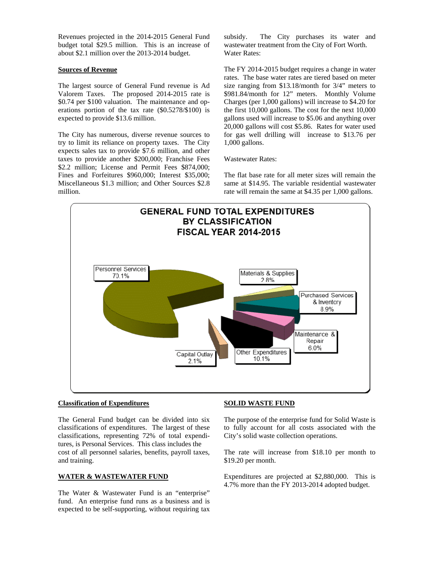Revenues projected in the 2014-2015 General Fund budget total \$29.5 million. This is an increase of about \$2.1 million over the 2013-2014 budget.

#### **Sources of Revenue**

The largest source of General Fund revenue is Ad Valorem Taxes. The proposed 2014-2015 rate is \$0.74 per \$100 valuation. The maintenance and operations portion of the tax rate (\$0.5278/\$100) is expected to provide \$13.6 million.

The City has numerous, diverse revenue sources to try to limit its reliance on property taxes. The City expects sales tax to provide \$7.6 million, and other taxes to provide another \$200,000; Franchise Fees \$2.2 million; License and Permit Fees \$874,000; Fines and Forfeitures \$960,000; Interest \$35,000; Miscellaneous \$1.3 million; and Other Sources \$2.8 million.

subsidy. The City purchases its water and wastewater treatment from the City of Fort Worth. Water Rates:

The FY 2014-2015 budget requires a change in water rates. The base water rates are tiered based on meter size ranging from \$13.18/month for 3/4" meters to \$981.84/month for 12" meters. Monthly Volume Charges (per 1,000 gallons) will increase to \$4.20 for the first 10,000 gallons. The cost for the next 10,000 gallons used will increase to \$5.06 and anything over 20,000 gallons will cost \$5.86. Rates for water used for gas well drilling will increase to \$13.76 per 1,000 gallons.

Wastewater Rates:

The flat base rate for all meter sizes will remain the same at \$14.95. The variable residential wastewater rate will remain the same at \$4.35 per 1,000 gallons.



#### **Classification of Expenditures**

The General Fund budget can be divided into six classifications of expenditures. The largest of these classifications, representing 72% of total expenditures, is Personal Services. This class includes the cost of all personnel salaries, benefits, payroll taxes, and training.

#### **WATER & WASTEWATER FUND**

The Water & Wastewater Fund is an "enterprise" fund. An enterprise fund runs as a business and is expected to be self-supporting, without requiring tax

#### **SOLID WASTE FUND**

The purpose of the enterprise fund for Solid Waste is to fully account for all costs associated with the City's solid waste collection operations.

The rate will increase from \$18.10 per month to \$19.20 per month.

Expenditures are projected at \$2,880,000. This is 4.7% more than the FY 2013-2014 adopted budget.